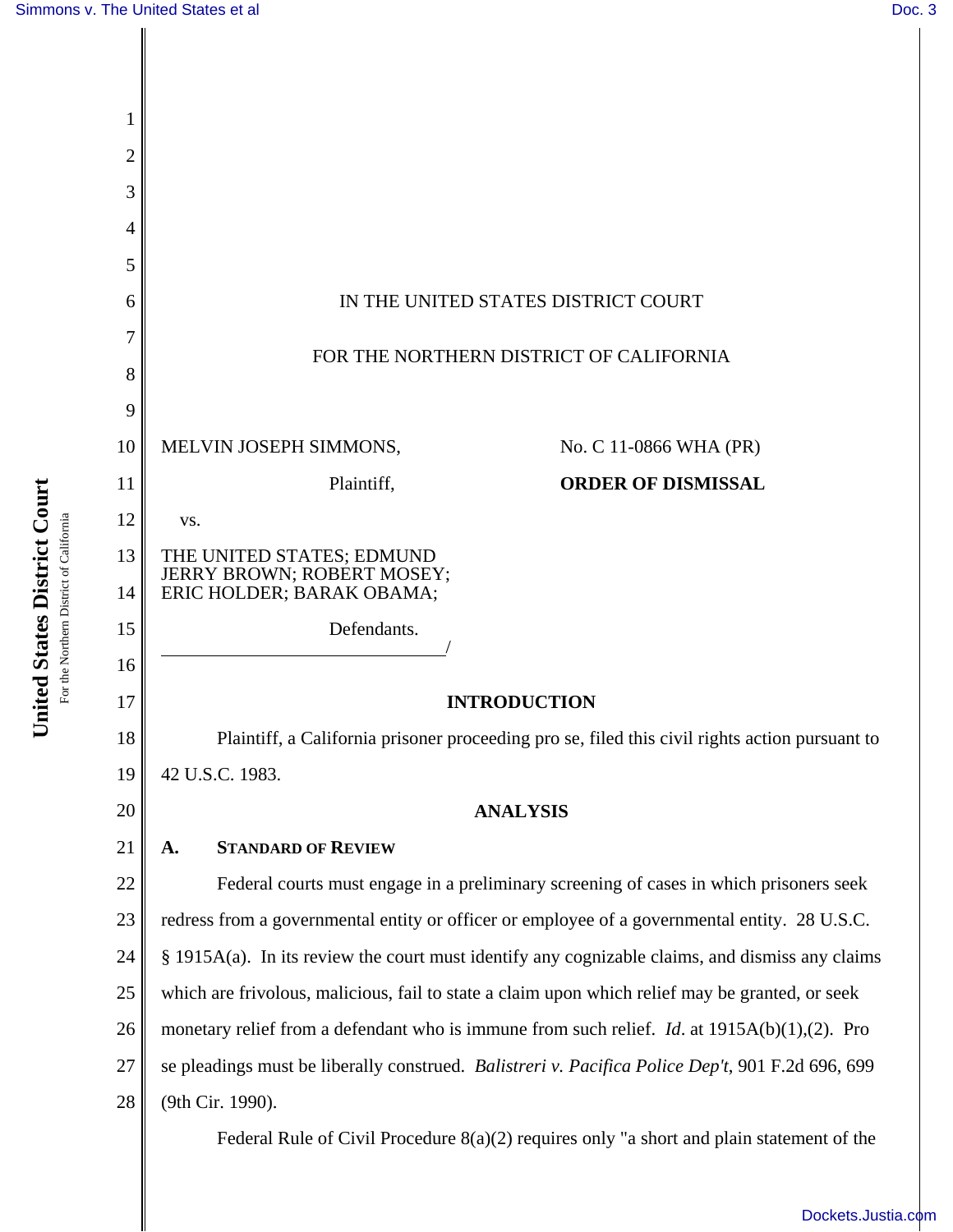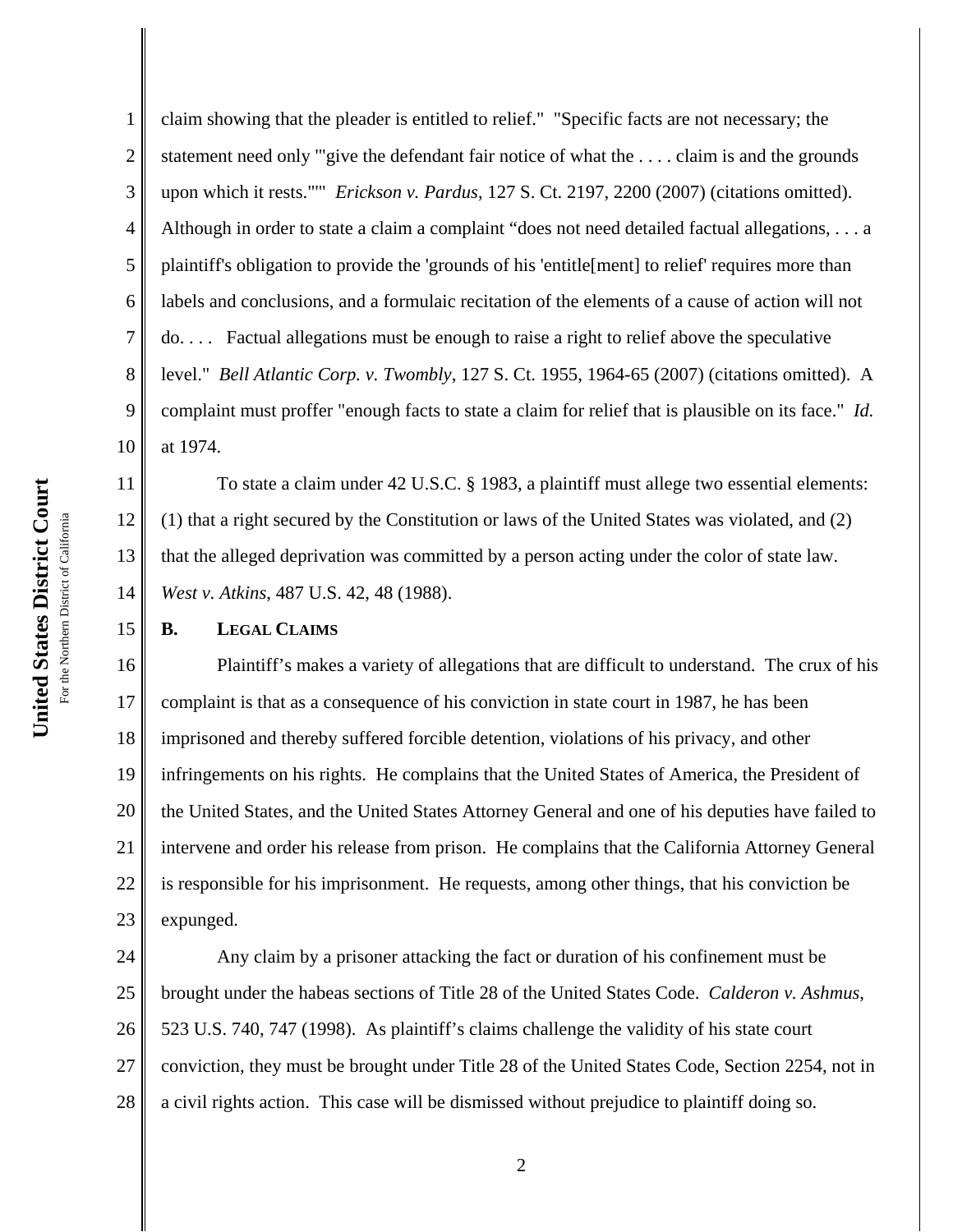15

1

2 3 4 5 6 7 8 9 10 claim showing that the pleader is entitled to relief." "Specific facts are not necessary; the statement need only '"give the defendant fair notice of what the . . . . claim is and the grounds upon which it rests."'" *Erickson v. Pardus*, 127 S. Ct. 2197, 2200 (2007) (citations omitted). Although in order to state a claim a complaint "does not need detailed factual allegations, . . . a plaintiff's obligation to provide the 'grounds of his 'entitle[ment] to relief' requires more than labels and conclusions, and a formulaic recitation of the elements of a cause of action will not do. . . . Factual allegations must be enough to raise a right to relief above the speculative level." *Bell Atlantic Corp. v. Twombly*, 127 S. Ct. 1955, 1964-65 (2007) (citations omitted). A complaint must proffer "enough facts to state a claim for relief that is plausible on its face." *Id.* at 1974.

11 12 13 14 To state a claim under 42 U.S.C. § 1983, a plaintiff must allege two essential elements: (1) that a right secured by the Constitution or laws of the United States was violated, and (2) that the alleged deprivation was committed by a person acting under the color of state law. *West v. Atkins*, 487 U.S. 42, 48 (1988).

## **B. LEGAL CLAIMS**

16 17 18 19 20 21 22 23 Plaintiff's makes a variety of allegations that are difficult to understand. The crux of his complaint is that as a consequence of his conviction in state court in 1987, he has been imprisoned and thereby suffered forcible detention, violations of his privacy, and other infringements on his rights. He complains that the United States of America, the President of the United States, and the United States Attorney General and one of his deputies have failed to intervene and order his release from prison. He complains that the California Attorney General is responsible for his imprisonment. He requests, among other things, that his conviction be expunged.

24 25 26 27 28 Any claim by a prisoner attacking the fact or duration of his confinement must be brought under the habeas sections of Title 28 of the United States Code. *Calderon v. Ashmus*, 523 U.S. 740, 747 (1998). As plaintiff's claims challenge the validity of his state court conviction, they must be brought under Title 28 of the United States Code, Section 2254, not in a civil rights action. This case will be dismissed without prejudice to plaintiff doing so.